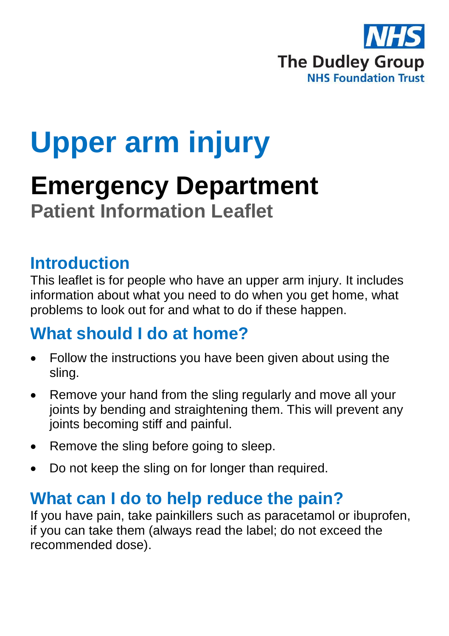

# **Upper arm injury**

## **Emergency Department Patient Information Leaflet**

## **Introduction**

This leaflet is for people who have an upper arm injury. It includes information about what you need to do when you get home, what problems to look out for and what to do if these happen.

## **What should I do at home?**

- Follow the instructions you have been given about using the sling.
- Remove your hand from the sling regularly and move all your joints by bending and straightening them. This will prevent any joints becoming stiff and painful.
- Remove the sling before going to sleep.
- Do not keep the sling on for longer than required.

## **What can I do to help reduce the pain?**

If you have pain, take painkillers such as paracetamol or ibuprofen, if you can take them (always read the label; do not exceed the recommended dose).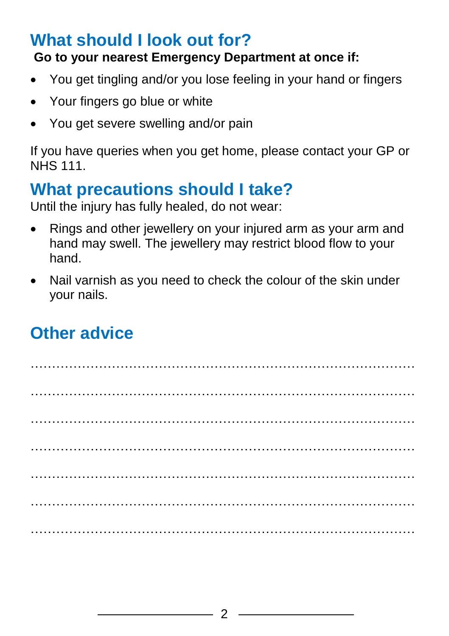## **What should I look out for?**

#### **Go to your nearest Emergency Department at once if:**

- You get tingling and/or you lose feeling in your hand or fingers
- Your fingers go blue or white
- You get severe swelling and/or pain

If you have queries when you get home, please contact your GP or NHS 111.

## **What precautions should I take?**

Until the injury has fully healed, do not wear:

- Rings and other jewellery on your injured arm as your arm and hand may swell. The jewellery may restrict blood flow to your hand.
- Nail varnish as you need to check the colour of the skin under your nails.

## **Other advice**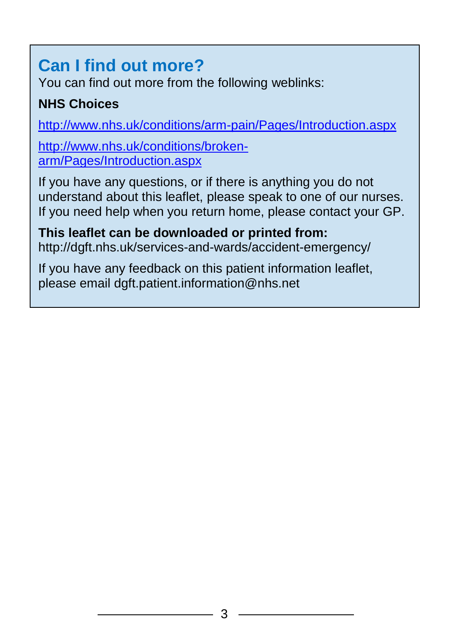## **Can I find out more?**

You can find out more from the following weblinks:

### **NHS Choices**

<http://www.nhs.uk/conditions/arm-pain/Pages/Introduction.aspx>

[http://www.nhs.uk/conditions/broken](http://www.nhs.uk/conditions/broken-arm/Pages/Introduction.aspx)[arm/Pages/Introduction.aspx](http://www.nhs.uk/conditions/broken-arm/Pages/Introduction.aspx)

If you have any questions, or if there is anything you do not understand about this leaflet, please speak to one of our nurses. If you need help when you return home, please contact your GP.

**This leaflet can be downloaded or printed from:** http://dgft.nhs.uk/services-and-wards/accident-emergency/

If you have any feedback on this patient information leaflet, please email dgft.patient.information@nhs.net